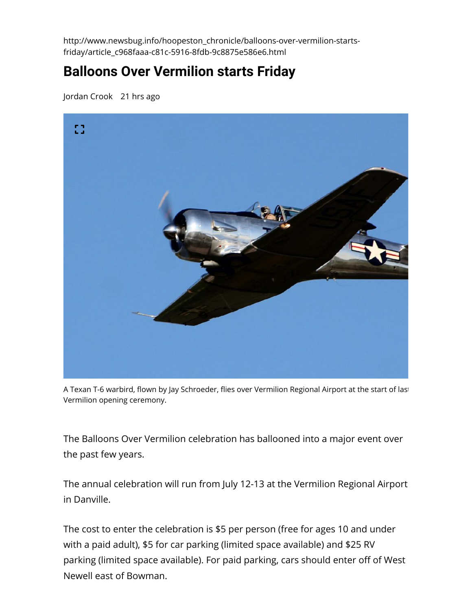http://www.newsbug.info/hoopeston\_chronicle/balloons-over-vermilion-startsfriday/article\_c968faaa-c81c-5916-8fdb-9c8875e586e6.html

## **Balloons Over Vermilion starts Friday**

[Jordan Crook](https://www.newsbug.info/users/profile/chronreporter) 21 hrs ago



A Texan T-6 warbird, flown by Jay Schroeder, flies over Vermilion Regional Airport at the start of last Vermilion opening ceremony.

The Balloons Over Vermilion celebration has ballooned into a major event over the past few years.

The annual celebration will run from July 12-13 at the Vermilion Regional Airport in Danville.

The cost to enter the celebration is \$5 per person (free for ages 10 and under with a paid adult), \$5 for car parking (limited space available) and \$25 RV parking (limited space available). For paid parking, cars should enter off of West Newell east of Bowman.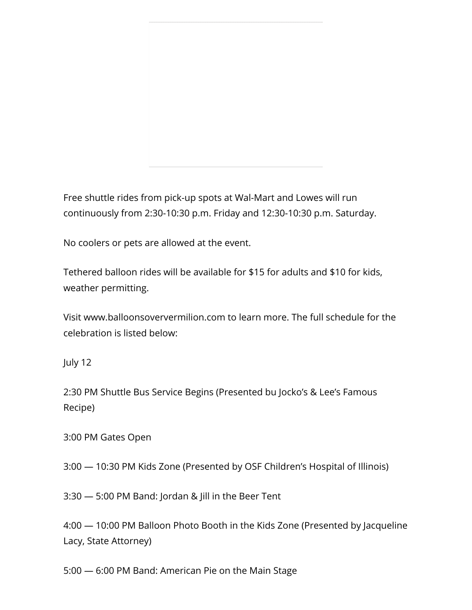Free shuttle rides from pick-up spots at Wal-Mart and Lowes will run continuously from 2:30-10:30 p.m. Friday and 12:30-10:30 p.m. Saturday.

No coolers or pets are allowed at the event.

Tethered balloon rides will be available for \$15 for adults and \$10 for kids, weather permitting.

Visit [www.balloonsoververmilion.com](http://www.balloonsoververmilion.com/) to learn more. The full schedule for the celebration is listed below:

July 12

2:30 PM Shuttle Bus Service Begins (Presented bu Jocko's & Lee's Famous Recipe)

3:00 PM Gates Open

3:00 — 10:30 PM Kids Zone (Presented by OSF Children's Hospital of Illinois)

3:30 — 5:00 PM Band: Jordan & Jill in the Beer Tent

4:00 — 10:00 PM Balloon Photo Booth in the Kids Zone (Presented by Jacqueline Lacy, State Attorney)

5:00 — 6:00 PM Band: American Pie on the Main Stage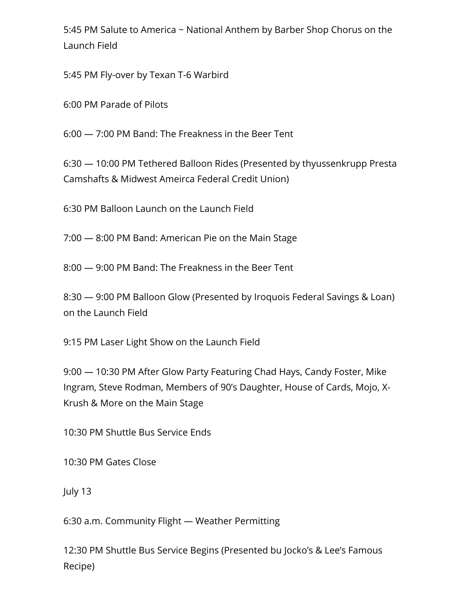5:45 PM Salute to America ~ National Anthem by Barber Shop Chorus on the Launch Field

5:45 PM Fly-over by Texan T-6 Warbird

6:00 PM Parade of Pilots

6:00 — 7:00 PM Band: The Freakness in the Beer Tent

6:30 — 10:00 PM Tethered Balloon Rides (Presented by thyussenkrupp Presta Camshafts & Midwest Ameirca Federal Credit Union)

6:30 PM Balloon Launch on the Launch Field

7:00 — 8:00 PM Band: American Pie on the Main Stage

8:00 — 9:00 PM Band: The Freakness in the Beer Tent

8:30 — 9:00 PM Balloon Glow (Presented by Iroquois Federal Savings & Loan) on the Launch Field

9:15 PM Laser Light Show on the Launch Field

9:00 — 10:30 PM After Glow Party Featuring Chad Hays, Candy Foster, Mike Ingram, Steve Rodman, Members of 90's Daughter, House of Cards, Mojo, X-Krush & More on the Main Stage

10:30 PM Shuttle Bus Service Ends

10:30 PM Gates Close

July 13

6:30 a.m. Community Flight — Weather Permitting

12:30 PM Shuttle Bus Service Begins (Presented bu Jocko's & Lee's Famous Recipe)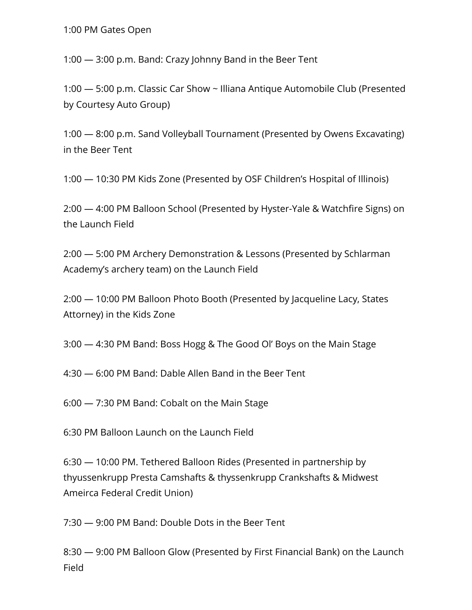1:00 PM Gates Open

1:00 — 3:00 p.m. Band: Crazy Johnny Band in the Beer Tent

1:00 — 5:00 p.m. Classic Car Show ~ Illiana Antique Automobile Club (Presented by Courtesy Auto Group)

1:00 — 8:00 p.m. Sand Volleyball Tournament (Presented by Owens Excavating) in the Beer Tent

1:00 — 10:30 PM Kids Zone (Presented by OSF Children's Hospital of Illinois)

2:00 - 4:00 PM Balloon School (Presented by Hyster-Yale & Watchfire Signs) on the Launch Field

2:00 — 5:00 PM Archery Demonstration & Lessons (Presented by Schlarman Academy's archery team) on the Launch Field

2:00 — 10:00 PM Balloon Photo Booth (Presented by Jacqueline Lacy, States Attorney) in the Kids Zone

3:00 — 4:30 PM Band: Boss Hogg & The Good Ol' Boys on the Main Stage

4:30 — 6:00 PM Band: Dable Allen Band in the Beer Tent

6:00 — 7:30 PM Band: Cobalt on the Main Stage

6:30 PM Balloon Launch on the Launch Field

6:30 — 10:00 PM. Tethered Balloon Rides (Presented in partnership by thyussenkrupp Presta Camshafts & thyssenkrupp Crankshafts & Midwest Ameirca Federal Credit Union)

7:30 — 9:00 PM Band: Double Dots in the Beer Tent

8:30 — 9:00 PM Balloon Glow (Presented by First Financial Bank) on the Launch Field